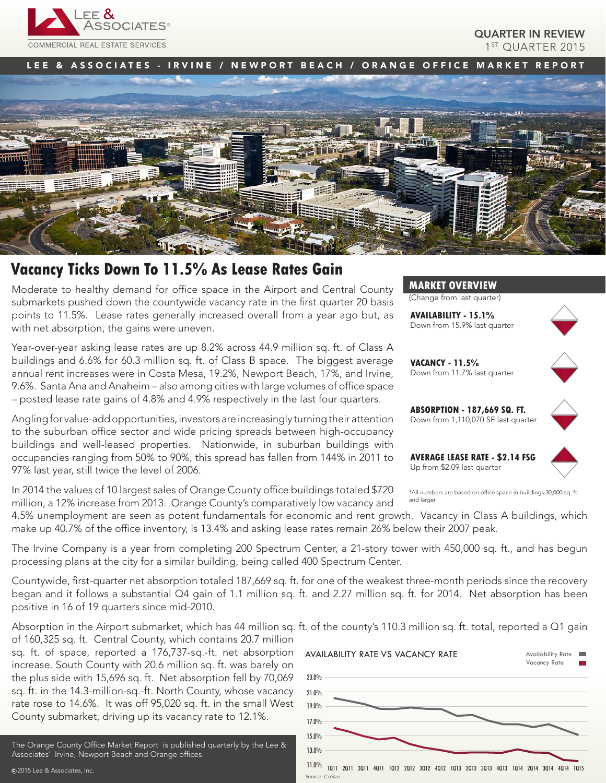

QUARTER IN REVIEW 1<sup>ST</sup> QUARTER 2015

LEE & ASSOCIATES - IRVINE / NEWPORT BEACH / ORANGE OFFICE MARKET REPORT



# **Vacancy Ticks Down To 11.5% As Lease Rates Gain**

Moderate to healthy demand for office space in the Airport and Central County submarkets pushed down the countywide vacancy rate in the first quarter 20 basis points to 11.5%. Lease rates generally increased overall from a year ago but, as with net absorption, the gains were uneven.

Year-over-year asking lease rates are up 8.2% across 44.9 million sq. ft. of Class A buildings and 6.6% for 60.3 million sq. ft. of Class B space. The biggest average annual rent increases were in Costa Mesa, 19.2%, Newport Beach, 17%, and Irvine, 9.6%. Santa Ana and Anaheim – also among cities with large volumes of office space – posted lease rate gains of 4.8% and 4.9% respectively in the last four quarters.

Angling for value-add opportunities, investors are increasingly turning their attention to the suburban office sector and wide pricing spreads between high-occupancy buildings and well-leased properties. Nationwide, in suburban buildings with occupancies ranging from 50% to 90%, this spread has fallen from 144% in 2011 to 97% last year, still twice the level of 2006.

In 2014 the values of 10 largest sales of Orange County office buildings totaled \$720 million, a 12% increase from 2013. Orange County's comparatively low vacancy and

**MARKET OVERVIEW**

(Change from last quarter)

**AVAILABILITY - 15.1%** Down from 15.9% last quarter



**VACANCY - 11.5%** Down from 11.7% last quarter



**ABSORPTION - 187,669 SQ. FT.** Down from 1,110,070 SF last quarter

**AVERAGE LEASE RATE - \$2.14 FSG** Up from \$2.09 last quarter



\*All numbers are based on office space in buildings 30,000 sq. ft. and larger

4.5% unemployment are seen as potent fundamentals for economic and rent growth. Vacancy in Class A buildings, which make up 40.7% of the office inventory, is 13.4% and asking lease rates remain 26% below their 2007 peak.

The Irvine Company is a year from completing 200 Spectrum Center, a 21-story tower with 450,000 sq. ft., and has begun processing plans at the city for a similar building, being called 400 Spectrum Center.

Countywide, first-quarter net absorption totaled 187,669 sq. ft. for one of the weakest three-month periods since the recovery began and it follows a substantial Q4 gain of 1.1 million sq. ft. and 2.27 million sq. ft. for 2014. Net absorption has been positive in 16 of 19 quarters since mid-2010.

Absorption in the Airport submarket, which has 44 million sq. ft. of the county's 110.3 million sq. ft. total, reported a Q1 gain

of 160,325 sq. ft. Central County, which contains 20.7 million sq. ft. of space, reported a 176,737-sq.-ft. net absorption increase. South County with 20.6 million sq. ft. was barely on the plus side with 15,696 sq. ft. Net absorption fell by 70,069 sq. ft. in the 14.3-million-sq.-ft. North County, whose vacancy rate rose to 14.6%. It was off 95,020 sq. ft. in the small West County submarket, driving up its vacancy rate to 12.1%.

The Orange County Office Market Report is published quarterly by the Lee & Associates' Irvine, Newport Beach and Orange offices.

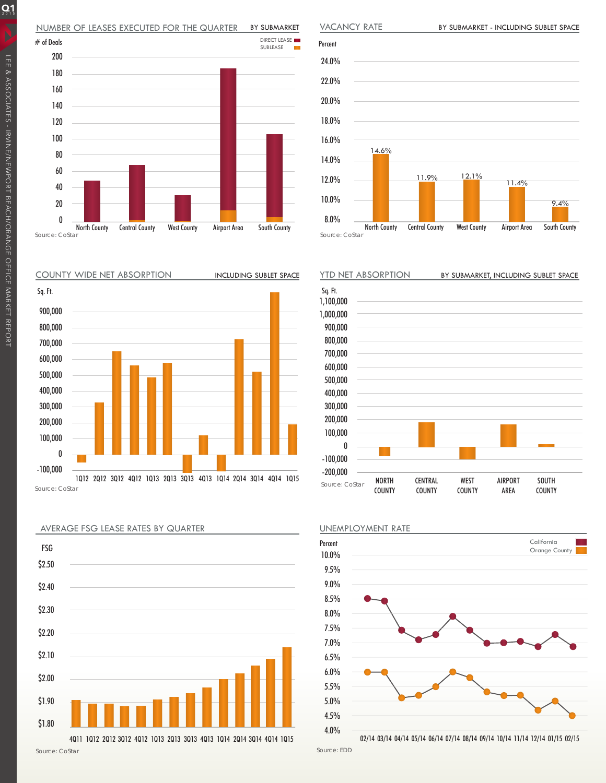#### NUMBER OF LEASES EXECUTED FOR THE QUARTER BY SUBMARKET

















Source: EDD

 $Q_1$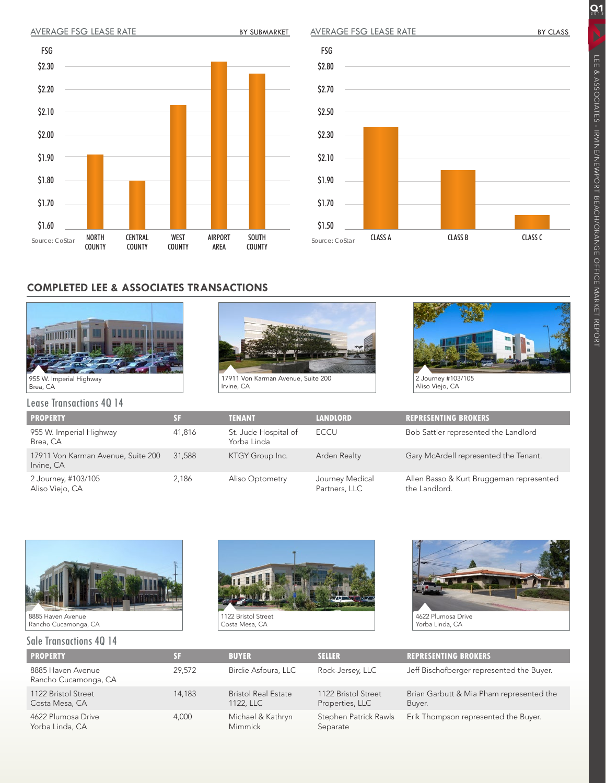



## **COMPLETED LEE & ASSOCIATES TRANSACTIONS**



Lease Transactions 4Q 14

17911 Von Karman Avenue, Suite 200 Irvine, CA



**PROPERTY SF TENANT LANDLORD REPRESENTING BROKERS** 955 W. Imperial Highway Brea, CA 41,816 St. Jude Hospital of Yorba Linda ECCU Bob Sattler represented the Landlord 17911 Von Karman Avenue, Suite 200 Irvine, CA 31,588 KTGY Group Inc. Arden Realty Gary McArdell represented the Tenant. 2 Journey, #103/105 Aliso Viejo, CA 2,186 Aliso Optometry Journey Medical Partners, LLC Allen Basso & Kurt Bruggeman represented the Landlord.



## Sale Transactions 4Q 14





| <b>PROPERTY</b>                           |        | <b>BUYER</b>                            | <b>SELLER</b>                          | <b>REPRESENTING BROKERS</b>                        |
|-------------------------------------------|--------|-----------------------------------------|----------------------------------------|----------------------------------------------------|
| 8885 Haven Avenue<br>Rancho Cucamonga, CA | 29.572 | Birdie Asfoura, LLC                     | Rock-Jersey, LLC                       | Jeff Bischofberger represented the Buyer.          |
| 1122 Bristol Street<br>Costa Mesa, CA     | 14,183 | <b>Bristol Real Estate</b><br>1122, LLC | 1122 Bristol Street<br>Properties, LLC | Brian Garbutt & Mia Pham represented the<br>Buyer. |
| 4622 Plumosa Drive<br>Yorba Linda, CA     | 4,000  | Michael & Kathryn<br>Mimmick            | Stephen Patrick Rawls<br>Separate      | Erik Thompson represented the Buyer.               |

 $Q_1$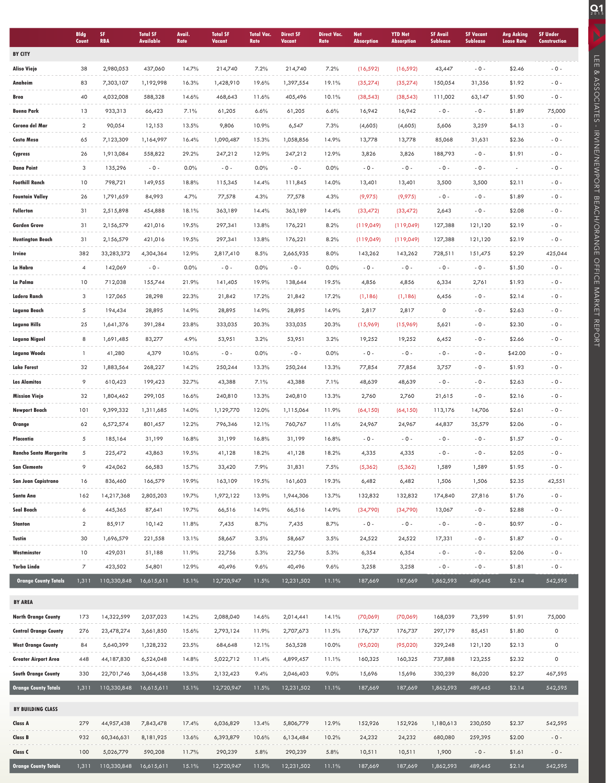|                              | <b>Bldg</b><br><b>Count</b> | SF.<br><b>RBA</b> | <b>Total SF</b><br>Available | Avail.<br>Rate | <b>Total SF</b><br>Vacant | <b>Total Vac.</b><br>Rate | <b>Direct SF</b><br>Vacant | <b>Direct Vac.</b><br>Rate | <b>Net</b><br><b>Absorption</b> | <b>YTD Net</b><br><b>Absorption</b> | <b>SF Avail</b><br><b>Sublease</b> | <b>SF Vacant</b><br><b>Sublease</b> | <b>Avg Asking</b><br><b>Lease Rate</b> | <b>SF Under</b><br><b>Construction</b> |
|------------------------------|-----------------------------|-------------------|------------------------------|----------------|---------------------------|---------------------------|----------------------------|----------------------------|---------------------------------|-------------------------------------|------------------------------------|-------------------------------------|----------------------------------------|----------------------------------------|
| <b>BY CITY</b>               |                             |                   |                              |                |                           |                           |                            |                            |                                 |                                     |                                    |                                     |                                        |                                        |
| <b>Aliso Viejo</b>           | 38                          | 2,980,053         | 437,060                      | 14.7%          | 214,740                   | 7.2%                      | 214,740                    | 7.2%                       | (16, 592)                       | (16, 592)                           | 43,447                             | $-0 -$                              | \$2.46                                 | $-0 -$                                 |
| Anaheim                      | 83                          | 7,303,107         | 1,192,998                    | 16.3%          | 1,428,910                 | 19.6%                     | 1,397,554                  | 19.1%                      | (35, 274)                       | (35, 274)                           | 150,054                            | 31,356                              | \$1.92                                 | $-0 -$                                 |
| Brea                         | 40                          | 4,032,008         | 588,328                      | 14.6%          | 468,643                   | 11.6%                     | 405,496                    | 10.1%                      | (38, 543)                       | (38, 543)                           | 111,002                            | 63,147                              | \$1.90                                 | $-0 -$                                 |
| <b>Buena Park</b>            | 13                          | 933,313           | 66,423                       | 7.1%           | 61,205                    | 6.6%                      | 61,205                     | 6.6%                       | 16,942                          | 16,942                              | $-0 -$                             | $-0 -$                              | \$1.89                                 | 75,000                                 |
| Corona del Mar               | $\overline{2}$              | 90,054            | 12,153                       | 13.5%          | 9,806                     | 10.9%                     | 6,547                      | 7.3%                       | (4,605)                         | (4,605)                             | 5,606                              | 3,259                               | \$4.13                                 | $-0 -$                                 |
| Costa Mesa                   | 65                          | 7,123,309         | 1,164,997                    | 16.4%          | 1,090,487                 | 15.3%                     | 1,058,856                  | 14.9%                      | 13,778                          | 13,778                              | 85,068                             | 31,631                              | \$2.36                                 | $-0 -$                                 |
| Cypress                      | 26                          | 1,913,084         | 558,822                      | 29.2%          | 247,212                   | 12.9%                     | 247,212                    | 12.9%                      | 3,826                           | 3,826                               | 188,793                            | $-0 -$                              | \$1.91                                 | $-0 -$                                 |
| <b>Dana Point</b>            | 3                           | 135,296           | $-0 -$                       | 0.0%           | $-0 -$                    | 0.0%                      | $-0 -$                     | 0.0%                       | $-0 -$                          | $-0 -$                              | $-0 -$                             | $-0 -$                              |                                        | $-0 -$                                 |
| <b>Foothill Ranch</b>        | 10                          | 798,721           | 149,955                      | 18.8%          | 115,345                   | 14.4%                     | 111,845                    | 14.0%                      | 13,401                          | 13,401                              | 3,500                              | 3,500                               | \$2.11                                 | $-0 -$                                 |
| <b>Fountain Valley</b>       | 26                          | 1,791,659         | 84,993                       | 4.7%           | 77,578                    | 4.3%                      | 77,578                     | 4.3%                       | (9,975)                         | (9,975)                             | $-0-$                              | $-0 -$                              | \$1.89                                 | $-0 -$                                 |
| <b>Fullerton</b>             | 31                          | 2,515,898         | 454,888                      | 18.1%          | 363,189                   | 14.4%                     | 363,189                    | 14.4%                      | (33, 472)                       | (33, 472)                           | 2,643                              | $-0 -$                              | \$2.08                                 | $-0 -$                                 |
| <b>Garden Grove</b>          | 31                          | 2,156,579         | 421,016                      | 19.5%          | 297,341                   | 13.8%                     | 176,221                    | 8.2%                       | (119,049)                       | (119,049)                           | 127,388                            | 121,120                             | \$2.19                                 | $-0 -$                                 |
| <b>Huntington Beach</b>      | 31                          | 2,156,579         | 421,016                      | 19.5%          | 297,341                   | 13.8%                     | 176,221                    | 8.2%                       | (119,049)                       | (119,049)                           | 127,388                            | 121,120                             | \$2.19                                 | $-0 -$                                 |
| Irvine                       | 382                         | 33,283,372        | 4,304,364                    | 12.9%          | 2,817,410                 | 8.5%                      | 2,665,935                  | 8.0%                       | 143,262                         | 143,262                             | 728,511                            | 151,475                             | \$2.29                                 | 425,044                                |
| La Habra                     | 4                           | 142,069           | $-0 -$                       | 0.0%           | $-0 -$                    | 0.0%                      | $-0 -$                     | 0.0%                       | $-0 -$                          | $-0 -$                              | $-0 -$                             | $-0 -$                              | \$1.50                                 | $-0 -$                                 |
| La Palma                     | 10                          | 712,038           | 155,744                      | 21.9%          | 141,405                   | 19.9%                     | 138,644                    | 19.5%                      | 4,856                           | 4,856                               | 6,334                              | 2,761                               | \$1.93                                 | $-0 -$                                 |
| Ladera Ranch                 | 3                           | 127,065           | 28,298                       | 22.3%          | 21,842                    | 17.2%                     | 21,842                     | 17.2%                      | (1,186)                         | (1,186)                             | 6,456                              | $-0 -$                              | \$2.14                                 | $-0 -$                                 |
| Laguna Beach                 | 5                           | 194,434           | 28,895                       | 14.9%          | 28,895                    | 14.9%                     | 28,895                     | 14.9%                      | 2,817                           | 2,817                               | 0                                  | $-0 -$                              | \$2.63                                 | $-0 -$                                 |
| Laguna Hills                 | 25                          | 1,641,376         | 391,284                      | 23.8%          | 333,035                   | 20.3%                     | 333,035                    | 20.3%                      | (15,969)                        | (15,969)                            | 5,621                              | $-0 -$                              | \$2.30                                 | $-0-$                                  |
| Laguna Niguel                | 8                           | 1,691,485         | 83,277                       | 4.9%           | 53,951                    | 3.2%                      | 53,951                     | 3.2%                       | 19,252                          | 19,252                              | 6,452                              | $-0 -$                              | \$2.66                                 | $-0 -$                                 |
| Laguna Woods                 | 1                           | 41,280            | 4,379                        | 10.6%          | $-0 -$                    | 0.0%                      | $-0 -$                     | 0.0%                       | $-0 -$                          | $-0 -$                              | $-0 -$                             | $-0 -$                              | \$42.00                                | $-0 -$                                 |
| <b>Lake Forest</b>           | 32                          | 1,883,564         | 268,227                      | 14.2%          | 250,244                   | 13.3%                     | 250,244                    | 13.3%                      | 77,854                          | 77,854                              | 3,757                              | $-0 -$                              | \$1.93                                 | $-0 -$                                 |
| <b>Los Alamitos</b>          | 9                           | 610,423           | 199,423                      | 32.7%          | 43,388                    | 7.1%                      | 43,388                     | 7.1%                       | 48,639                          | 48,639                              | $-0 -$                             | $-0 -$                              | \$2.63                                 | $-0 -$                                 |
| <b>Mission Viejo</b>         | 32                          | 1,804,462         | 299,105                      | 16.6%          | 240,810                   | 13.3%                     | 240,810                    | 13.3%                      | 2,760                           | 2,760                               | 21,615                             | $-0 -$                              | \$2.16                                 | $-0-$                                  |
| <b>Newport Beach</b>         | 101                         | 9,399,332         | 1,311,685                    | 14.0%          | 1,129,770                 | 12.0%                     | 1,115,064                  | 11.9%                      | (64, 150)                       | (64, 150)                           | 113,176                            | 14,706                              | \$2.61                                 | $-0 -$                                 |
| Orange                       | 62                          | 6,572,574         | 801,457                      | 12.2%          | 796,346                   | 12.1%                     | 760,767                    | 11.6%                      | 24,967                          | 24,967                              | 44,837                             | 35,579                              | \$2.06                                 | $-0 -$                                 |
| Placentia                    | 5                           | 185,164           | 31,199                       | 16.8%          | 31,199                    | 16.8%                     | 31,199                     | 16.8%                      | $-0 -$                          | $-0 -$                              | $-0 -$                             | $-0 -$                              | \$1.57                                 | $-0 -$                                 |
| Rancho Santa Margarita       | 5                           | 225,472           | 43,863                       | 19.5%          | 41,128                    | 18.2%                     | 41,128                     | 18.2%                      | 4,335                           | 4,335                               | $-0 -$                             | $-0 -$                              | \$2.05                                 | $-0 -$                                 |
| <b>San Clemente</b>          | $\circ$                     | 424,062           | 66,583                       | 15.7%          | 33,420                    | 7.9%                      | 31,831                     | 7.5%                       | (5, 362)                        | (5, 362)                            | 1,589                              | 1,589                               | \$1.95                                 | $-0 -$                                 |
| <b>San Juan Capistrano</b>   | 16                          | 836,460           | 166,579                      | 19.9%          | 163,109                   | 19.5%                     | 161,603                    | 19.3%                      | 6,482                           | 6,482                               | 1,506                              | 1,506                               | \$2.35                                 | 42,551                                 |
| Santa Ana                    | 162                         | 14,217,368        | 2,805,203                    | 19.7%          | 1,972,122                 | 13.9%                     | 1,944,306                  | 13.7%                      | 132,832                         | 132,832                             | 174,840                            | 27,816                              | \$1.76                                 | - 0 -                                  |
| Seal Beach                   | 6                           | 445,365           | 87,641                       | 19.7%          | 66,516                    | 14.9%                     | 66,516                     | 14.9%                      | (34,790)                        | (34,790)                            | 13,067                             | $-0 -$                              | \$2.88                                 | $-0-$                                  |
| Stanton                      | $\overline{a}$              | 85,917            | 10,142                       | 11.8%          | 7,435                     | 8.7%                      | 7,435                      | 8.7%                       | $-0 -$                          | $-0 -$                              | $-0 -$                             | $-0 -$                              | \$0.97                                 | - 0 -                                  |
| Tustin                       | 30                          | 1,696,579         | 221,558                      | 13.1%          | 58,667                    | 3.5%                      | 58,667                     | 3.5%                       | 24,522                          | 24,522                              | 17,331                             | $-0 -$                              | \$1.87                                 | - 0 -                                  |
| Westminster                  | 10                          | 429,031           | 51,188                       | 11.9%          | 22,756                    | 5.3%                      | 22,756                     | 5.3%                       | 6,354                           | 6,354                               | $-0 -$                             | $-0 -$                              | \$2.06                                 | $-0-$                                  |
| Yorba Linda                  | 7                           | 423,502           | 54,801                       | 12.9%          | 40,496                    | 9.6%                      | 40,496                     | 9.6%                       | 3,258                           | 3,258                               | $-0 -$                             | $-0 -$                              | \$1.81                                 | $-0 -$                                 |
| <b>Orange County Totals</b>  | 1,311                       | 110,330,848       | 16,615,611                   | 15.1%          | 12,720,947                | 11.5%                     | 12,231,502                 | 11.1%                      | 187,669                         | 187,669                             | 1,862,593                          | 489,445                             | \$2.14                                 | 542,595                                |
| <b>BY AREA</b>               |                             |                   |                              |                |                           |                           |                            |                            |                                 |                                     |                                    |                                     |                                        |                                        |
| <b>North Orange County</b>   | 173                         | 14,322,599        | 2,037,023                    | 14.2%          | 2,088,040                 | 14.6%                     | 2,014,441                  | 14.1%                      | (70,069)                        | (70,069)                            | 168,039                            | 73,599                              | \$1.91                                 | 75,000                                 |
| <b>Central Orange County</b> | 276                         | 23,478,274        | 3,661,850                    | 15.6%          | 2,793,124                 | 11.9%                     | 2,707,673                  | 11.5%                      | 176,737                         | 176,737                             | 297,179                            | 85,451                              | \$1.80                                 | 0                                      |
| <b>West Orange County</b>    | 84                          | 5,640,399         | 1,328,232                    | 23.5%          | 684,648                   | 12.1%                     | 563,528                    | 10.0%                      | (95, 020)                       | (95,020)                            | 329,248                            | 121,120                             | \$2.13                                 | $\mathsf{O}\xspace$                    |
| Greater Airport Area         | 448                         | 44,187,830        | 6,524,048                    | 14.8%          | 5,022,712                 | 11.4%                     | 4,899,457                  | 11.1%                      | 160,325                         | 160,325                             | 737,888                            | 123,255                             | \$2.32                                 | $\mathsf{O}\xspace$                    |
| <b>South Orange County</b>   | 330                         | 22,701,746        | 3,064,458                    | 13.5%          | 2,132,423                 | 9.4%                      | 2,046,403                  | 9.0%                       | 15,696                          | 15,696                              | 330,239                            | 86,020                              | \$2.27                                 | 467,595                                |
| <b>Orange County Totals</b>  | 1,311                       | 110,330,848       | 16,615,611                   | 15.1%          | 12,720,947                | 11.5%                     | 12,231,502                 | 11.1%                      | 187,669                         | 187,669                             | 1,862,593                          | 489,445                             | \$2.14                                 | 542,595                                |
|                              |                             |                   |                              |                |                           |                           |                            |                            |                                 |                                     |                                    |                                     |                                        |                                        |
| BY BUILDING CLASS            |                             |                   |                              |                |                           |                           |                            |                            |                                 |                                     |                                    |                                     |                                        |                                        |
| Class A                      | 279                         | 44,957,438        | 7,843,478                    | 17.4%          | 6,036,829                 | 13.4%                     | 5,806,779                  | 12.9%                      | 152,926                         | 152,926                             | 1,180,613                          | 230,050                             | \$2.37                                 | 542,595                                |
| Class B                      | 932                         | 60,346,631        | 8,181,925                    | 13.6%          | 6,393,879                 | 10.6%                     | 6,134,484                  | 10.2%                      | 24,232                          | 24,232                              | 680,080                            | 259,395                             | \$2.00                                 | $-0 -$                                 |
| Class C                      | 100                         | 5,026,779         | 590,208                      | 11.7%          | 290,239                   | 5.8%                      | 290,239                    | 5.8%                       | 10,511                          | 10,511                              | 1,900                              | $-0 -$                              | \$1.61                                 | - 0 -                                  |
| <b>Orange County Totals</b>  | 1,311                       | 110,330,848       | 16,615,611                   | 15.1%          | 12,720,947                | 11.5%                     | 12,231,502                 | 11.1%                      | 187,669                         | 187,669                             | 1,862,593                          | 489,445                             | \$2.14                                 | 542,595                                |

LEE & ASSOCIATES - IRVINE/NEWPORT BEACH/ORANGE OFFICE MARKET REPORT

**CHE ANSOCIATES - IRVINEWPORT BEACH/ORANGE OFFICE MARKET REPORT**